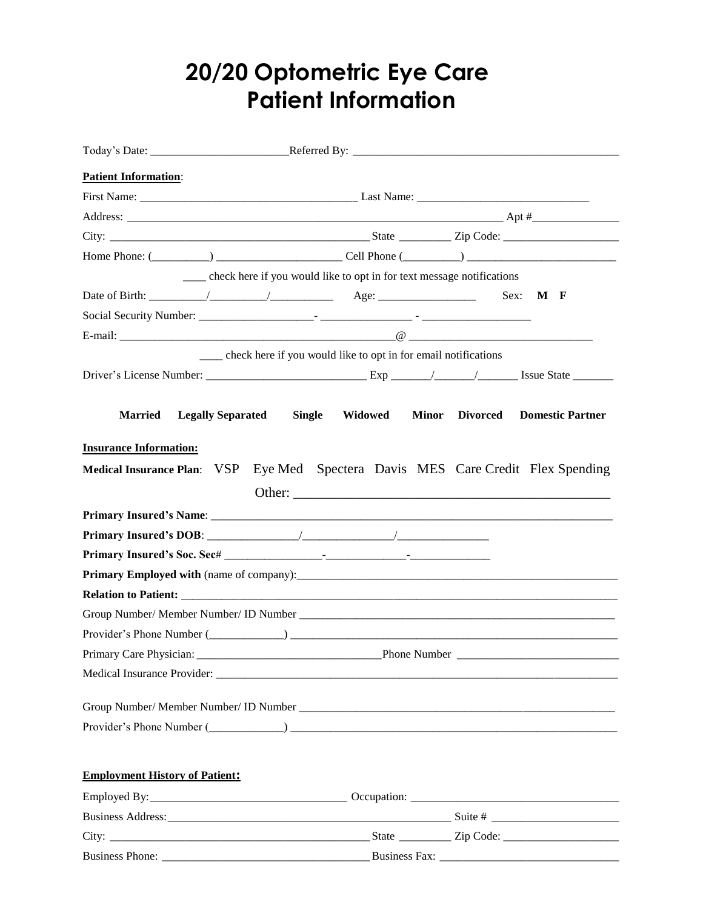## **20/20 Optometric Eye Care Patient Information**

| <b>Patient Information:</b>                                                                   |                                                                            |                                                                                  |
|-----------------------------------------------------------------------------------------------|----------------------------------------------------------------------------|----------------------------------------------------------------------------------|
|                                                                                               |                                                                            |                                                                                  |
|                                                                                               |                                                                            |                                                                                  |
|                                                                                               |                                                                            |                                                                                  |
|                                                                                               |                                                                            |                                                                                  |
|                                                                                               | ____ check here if you would like to opt in for text message notifications |                                                                                  |
| Date of Birth: $\frac{1}{\sqrt{2\pi}}$ / $\frac{1}{\sqrt{2\pi}}$ Age: $\frac{1}{\sqrt{2\pi}}$ |                                                                            | Sex:<br>M F                                                                      |
|                                                                                               |                                                                            |                                                                                  |
|                                                                                               |                                                                            |                                                                                  |
|                                                                                               | ___ check here if you would like to opt in for email notifications         |                                                                                  |
|                                                                                               |                                                                            |                                                                                  |
|                                                                                               |                                                                            |                                                                                  |
| <b>Married</b><br><b>Legally Separated</b>                                                    | <b>Single</b><br>Widowed                                                   | <b>Minor</b><br>Divorced<br><b>Domestic Partner</b>                              |
|                                                                                               |                                                                            |                                                                                  |
| <b>Insurance Information:</b>                                                                 |                                                                            |                                                                                  |
|                                                                                               |                                                                            | Medical Insurance Plan: VSP Eye Med Spectera Davis MES Care Credit Flex Spending |
|                                                                                               |                                                                            |                                                                                  |
|                                                                                               |                                                                            |                                                                                  |
|                                                                                               |                                                                            |                                                                                  |
|                                                                                               |                                                                            |                                                                                  |
|                                                                                               |                                                                            |                                                                                  |
|                                                                                               |                                                                            |                                                                                  |
|                                                                                               |                                                                            |                                                                                  |
|                                                                                               |                                                                            |                                                                                  |
| Primary Care Physician:                                                                       |                                                                            | Phone Number                                                                     |
|                                                                                               |                                                                            | Medical Insurance Provider:                                                      |
|                                                                                               |                                                                            |                                                                                  |
|                                                                                               |                                                                            |                                                                                  |
|                                                                                               |                                                                            |                                                                                  |
|                                                                                               |                                                                            |                                                                                  |
| <b>Employment History of Patient:</b>                                                         |                                                                            |                                                                                  |
|                                                                                               |                                                                            |                                                                                  |
|                                                                                               |                                                                            |                                                                                  |
|                                                                                               |                                                                            |                                                                                  |
|                                                                                               |                                                                            |                                                                                  |

Business Phone: \_\_\_\_\_\_\_\_\_\_\_\_\_\_\_\_\_\_\_\_\_\_\_\_\_\_\_\_\_\_\_\_\_\_\_\_Business Fax: \_\_\_\_\_\_\_\_\_\_\_\_\_\_\_\_\_\_\_\_\_\_\_\_\_\_\_\_\_\_\_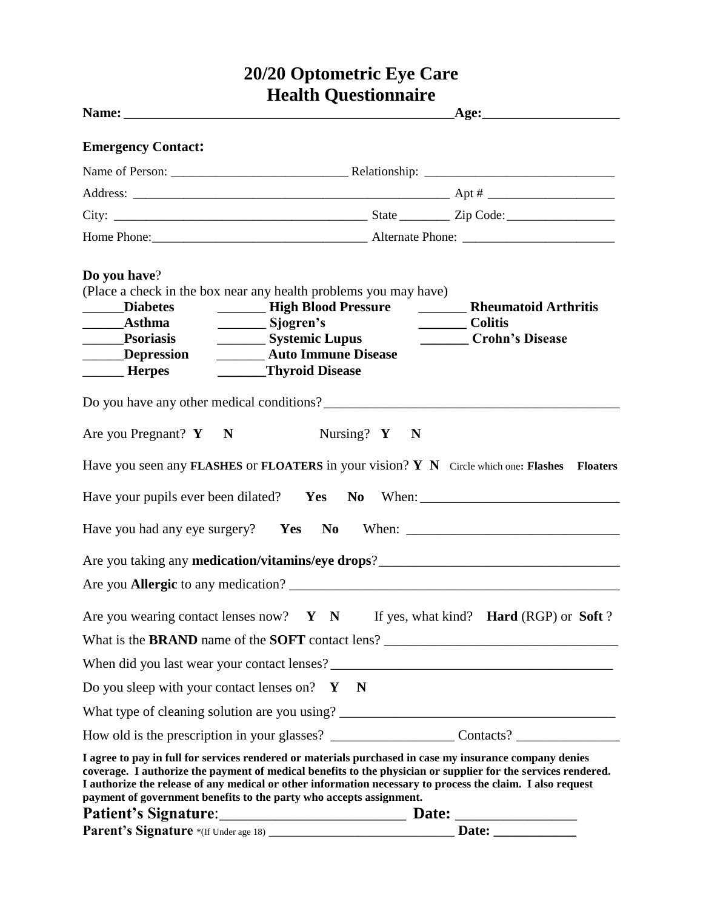## **20/20 Optometric Eye Care Health Questionnaire**

| <b>Emergency Contact:</b>                                                                                                                                                                                                                                                                                                                                                                                     |                   |                                                                                   |  |
|---------------------------------------------------------------------------------------------------------------------------------------------------------------------------------------------------------------------------------------------------------------------------------------------------------------------------------------------------------------------------------------------------------------|-------------------|-----------------------------------------------------------------------------------|--|
|                                                                                                                                                                                                                                                                                                                                                                                                               |                   |                                                                                   |  |
|                                                                                                                                                                                                                                                                                                                                                                                                               |                   |                                                                                   |  |
|                                                                                                                                                                                                                                                                                                                                                                                                               |                   |                                                                                   |  |
|                                                                                                                                                                                                                                                                                                                                                                                                               |                   |                                                                                   |  |
| Do you have?<br>(Place a check in the box near any health problems you may have)<br><b>__________ High Blood Pressure</b><br>______Diabetes<br>Sjogren's<br>Systemic Lupus<br>______Psoriasis<br><b>Auto Immune Disease</b><br>Depression<br>______Thyroid Disease<br><b>Herpes</b>                                                                                                                           |                   | <b>Example 2 Reference And Arthritis</b><br>__________ Colitis<br>Crohn's Disease |  |
| Do you have any other medical conditions?                                                                                                                                                                                                                                                                                                                                                                     |                   |                                                                                   |  |
| Are you Pregnant? $Y \t N$                                                                                                                                                                                                                                                                                                                                                                                    | Nursing? $Y \t N$ |                                                                                   |  |
| Have you seen any FLASHES or FLOATERS in your vision? $Y \ N$ Circle which one: Flashes Floaters<br>Have your pupils ever been dilated? Yes No When: ________________________________                                                                                                                                                                                                                         |                   |                                                                                   |  |
| Have you had any eye surgery?  Yes  No  When: ___________________________________                                                                                                                                                                                                                                                                                                                             |                   |                                                                                   |  |
| Are you taking any <b>medication/vitamins/eye drops</b> ?                                                                                                                                                                                                                                                                                                                                                     |                   |                                                                                   |  |
|                                                                                                                                                                                                                                                                                                                                                                                                               |                   |                                                                                   |  |
| Are you wearing contact lenses now? $Y \ N$ If yes, what kind? Hard (RGP) or Soft?                                                                                                                                                                                                                                                                                                                            |                   |                                                                                   |  |
|                                                                                                                                                                                                                                                                                                                                                                                                               |                   |                                                                                   |  |
|                                                                                                                                                                                                                                                                                                                                                                                                               |                   |                                                                                   |  |
| Do you sleep with your contact lenses on? $Y \times N$                                                                                                                                                                                                                                                                                                                                                        |                   |                                                                                   |  |
|                                                                                                                                                                                                                                                                                                                                                                                                               |                   |                                                                                   |  |
|                                                                                                                                                                                                                                                                                                                                                                                                               |                   |                                                                                   |  |
| I agree to pay in full for services rendered or materials purchased in case my insurance company denies<br>coverage. I authorize the payment of medical benefits to the physician or supplier for the services rendered.<br>I authorize the release of any medical or other information necessary to process the claim. I also request<br>payment of government benefits to the party who accepts assignment. |                   |                                                                                   |  |
|                                                                                                                                                                                                                                                                                                                                                                                                               |                   |                                                                                   |  |
|                                                                                                                                                                                                                                                                                                                                                                                                               |                   |                                                                                   |  |